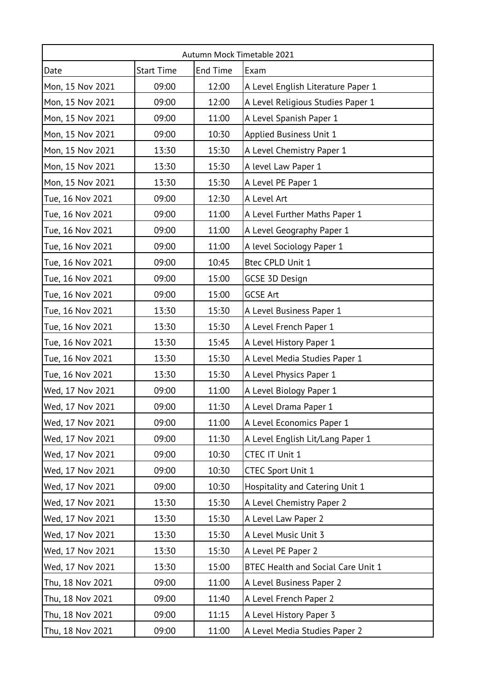| Autumn Mock Timetable 2021 |                   |          |                                    |  |  |
|----------------------------|-------------------|----------|------------------------------------|--|--|
| Date                       | <b>Start Time</b> | End Time | Exam                               |  |  |
| Mon, 15 Nov 2021           | 09:00             | 12:00    | A Level English Literature Paper 1 |  |  |
| Mon, 15 Nov 2021           | 09:00             | 12:00    | A Level Religious Studies Paper 1  |  |  |
| Mon, 15 Nov 2021           | 09:00             | 11:00    | A Level Spanish Paper 1            |  |  |
| Mon, 15 Nov 2021           | 09:00             | 10:30    | Applied Business Unit 1            |  |  |
| Mon, 15 Nov 2021           | 13:30             | 15:30    | A Level Chemistry Paper 1          |  |  |
| Mon, 15 Nov 2021           | 13:30             | 15:30    | A level Law Paper 1                |  |  |
| Mon, 15 Nov 2021           | 13:30             | 15:30    | A Level PE Paper 1                 |  |  |
| Tue, 16 Nov 2021           | 09:00             | 12:30    | A Level Art                        |  |  |
| Tue, 16 Nov 2021           | 09:00             | 11:00    | A Level Further Maths Paper 1      |  |  |
| Tue, 16 Nov 2021           | 09:00             | 11:00    | A Level Geography Paper 1          |  |  |
| Tue, 16 Nov 2021           | 09:00             | 11:00    | A level Sociology Paper 1          |  |  |
| Tue, 16 Nov 2021           | 09:00             | 10:45    | Btec CPLD Unit 1                   |  |  |
| Tue, 16 Nov 2021           | 09:00             | 15:00    | GCSE 3D Design                     |  |  |
| Tue, 16 Nov 2021           | 09:00             | 15:00    | <b>GCSE Art</b>                    |  |  |
| Tue, 16 Nov 2021           | 13:30             | 15:30    | A Level Business Paper 1           |  |  |
| Tue, 16 Nov 2021           | 13:30             | 15:30    | A Level French Paper 1             |  |  |
| Tue, 16 Nov 2021           | 13:30             | 15:45    | A Level History Paper 1            |  |  |
| Tue, 16 Nov 2021           | 13:30             | 15:30    | A Level Media Studies Paper 1      |  |  |
| Tue, 16 Nov 2021           | 13:30             | 15:30    | A Level Physics Paper 1            |  |  |
| Wed, 17 Nov 2021           | 09:00             | 11:00    | A Level Biology Paper 1            |  |  |
| Wed, 17 Nov 2021           | 09:00             | 11:30    | A Level Drama Paper 1              |  |  |
| Wed, 17 Nov 2021           | 09:00             | 11:00    | A Level Economics Paper 1          |  |  |
| Wed, 17 Nov 2021           | 09:00             | 11:30    | A Level English Lit/Lang Paper 1   |  |  |
| Wed, 17 Nov 2021           | 09:00             | 10:30    | CTEC IT Unit 1                     |  |  |
| Wed, 17 Nov 2021           | 09:00             | 10:30    | <b>CTEC Sport Unit 1</b>           |  |  |
| Wed, 17 Nov 2021           | 09:00             | 10:30    | Hospitality and Catering Unit 1    |  |  |
| Wed, 17 Nov 2021           | 13:30             | 15:30    | A Level Chemistry Paper 2          |  |  |
| Wed, 17 Nov 2021           | 13:30             | 15:30    | A Level Law Paper 2                |  |  |
| Wed, 17 Nov 2021           | 13:30             | 15:30    | A Level Music Unit 3               |  |  |
| Wed, 17 Nov 2021           | 13:30             | 15:30    | A Level PE Paper 2                 |  |  |
| Wed, 17 Nov 2021           | 13:30             | 15:00    | BTEC Health and Social Care Unit 1 |  |  |
| Thu, 18 Nov 2021           | 09:00             | 11:00    | A Level Business Paper 2           |  |  |
| Thu, 18 Nov 2021           | 09:00             | 11:40    | A Level French Paper 2             |  |  |
| Thu, 18 Nov 2021           | 09:00             | 11:15    | A Level History Paper 3            |  |  |
| Thu, 18 Nov 2021           | 09:00             | 11:00    | A Level Media Studies Paper 2      |  |  |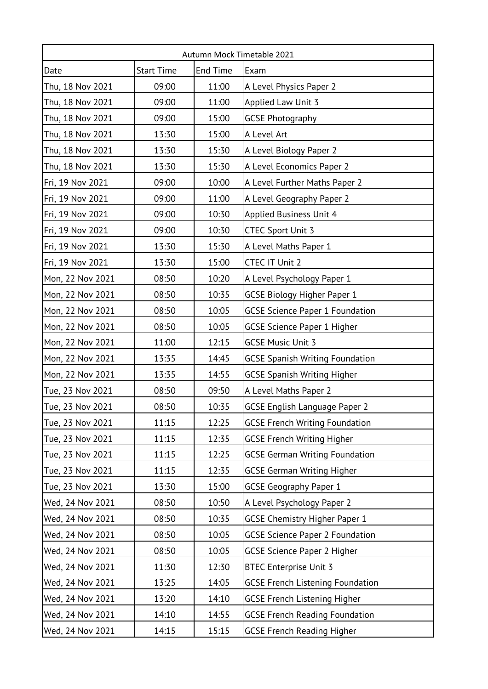| Autumn Mock Timetable 2021 |                   |          |                                         |  |  |
|----------------------------|-------------------|----------|-----------------------------------------|--|--|
| Date                       | <b>Start Time</b> | End Time | Exam                                    |  |  |
| Thu, 18 Nov 2021           | 09:00             | 11:00    | A Level Physics Paper 2                 |  |  |
| Thu, 18 Nov 2021           | 09:00             | 11:00    | Applied Law Unit 3                      |  |  |
| Thu, 18 Nov 2021           | 09:00             | 15:00    | <b>GCSE Photography</b>                 |  |  |
| Thu, 18 Nov 2021           | 13:30             | 15:00    | A Level Art                             |  |  |
| Thu, 18 Nov 2021           | 13:30             | 15:30    | A Level Biology Paper 2                 |  |  |
| Thu, 18 Nov 2021           | 13:30             | 15:30    | A Level Economics Paper 2               |  |  |
| Fri, 19 Nov 2021           | 09:00             | 10:00    | A Level Further Maths Paper 2           |  |  |
| Fri, 19 Nov 2021           | 09:00             | 11:00    | A Level Geography Paper 2               |  |  |
| Fri, 19 Nov 2021           | 09:00             | 10:30    | Applied Business Unit 4                 |  |  |
| Fri, 19 Nov 2021           | 09:00             | 10:30    | <b>CTEC Sport Unit 3</b>                |  |  |
| Fri, 19 Nov 2021           | 13:30             | 15:30    | A Level Maths Paper 1                   |  |  |
| Fri, 19 Nov 2021           | 13:30             | 15:00    | CTEC IT Unit 2                          |  |  |
| Mon, 22 Nov 2021           | 08:50             | 10:20    | A Level Psychology Paper 1              |  |  |
| Mon, 22 Nov 2021           | 08:50             | 10:35    | <b>GCSE Biology Higher Paper 1</b>      |  |  |
| Mon, 22 Nov 2021           | 08:50             | 10:05    | <b>GCSE Science Paper 1 Foundation</b>  |  |  |
| Mon, 22 Nov 2021           | 08:50             | 10:05    | <b>GCSE Science Paper 1 Higher</b>      |  |  |
| Mon, 22 Nov 2021           | 11:00             | 12:15    | <b>GCSE Music Unit 3</b>                |  |  |
| Mon, 22 Nov 2021           | 13:35             | 14:45    | <b>GCSE Spanish Writing Foundation</b>  |  |  |
| Mon, 22 Nov 2021           | 13:35             | 14:55    | <b>GCSE Spanish Writing Higher</b>      |  |  |
| Tue, 23 Nov 2021           | 08:50             | 09:50    | A Level Maths Paper 2                   |  |  |
| Tue, 23 Nov 2021           | 08:50             | 10:35    | <b>GCSE English Language Paper 2</b>    |  |  |
| Tue, 23 Nov 2021           | 11:15             | 12:25    | <b>GCSE French Writing Foundation</b>   |  |  |
| Tue, 23 Nov 2021           | 11:15             | 12:35    | <b>GCSE French Writing Higher</b>       |  |  |
| Tue, 23 Nov 2021           | 11:15             | 12:25    | <b>GCSE German Writing Foundation</b>   |  |  |
| Tue, 23 Nov 2021           | 11:15             | 12:35    | <b>GCSE German Writing Higher</b>       |  |  |
| Tue, 23 Nov 2021           | 13:30             | 15:00    | <b>GCSE Geography Paper 1</b>           |  |  |
| Wed, 24 Nov 2021           | 08:50             | 10:50    | A Level Psychology Paper 2              |  |  |
| Wed, 24 Nov 2021           | 08:50             | 10:35    | <b>GCSE Chemistry Higher Paper 1</b>    |  |  |
| Wed, 24 Nov 2021           | 08:50             | 10:05    | <b>GCSE Science Paper 2 Foundation</b>  |  |  |
| Wed, 24 Nov 2021           | 08:50             | 10:05    | <b>GCSE Science Paper 2 Higher</b>      |  |  |
| Wed, 24 Nov 2021           | 11:30             | 12:30    | <b>BTEC Enterprise Unit 3</b>           |  |  |
| Wed, 24 Nov 2021           | 13:25             | 14:05    | <b>GCSE French Listening Foundation</b> |  |  |
| Wed, 24 Nov 2021           | 13:20             | 14:10    | <b>GCSE French Listening Higher</b>     |  |  |
| Wed, 24 Nov 2021           | 14:10             | 14:55    | <b>GCSE French Reading Foundation</b>   |  |  |
| Wed, 24 Nov 2021           | 14:15             | 15:15    | <b>GCSE French Reading Higher</b>       |  |  |